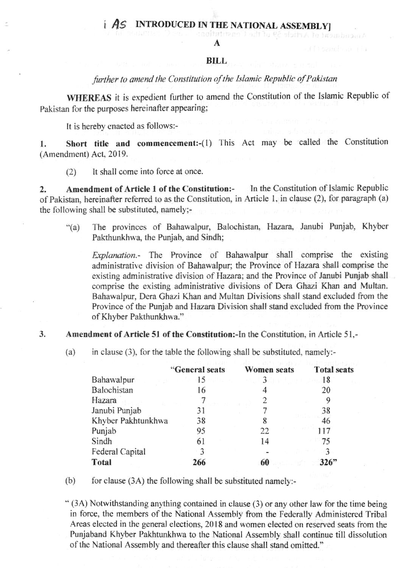#### **AS INTRODUCED IN THE NAT** IONAL ASSEMBLYI

A

### **BILL**

# further to amend the Constitution of the Islamic Republic of Pakistan

WHEREAS it is expedient further to amend the Constitution of the Islamic Republic of Pakistan for the purposes hereinafter appearing:

It is hereby enacted as follows:-

Short title and commencement:-(1) This Act may be called the Constitution 1. (Amendment) Act, 2019.

It shall come into force at once.  $(2)$ 

In the Constitution of Islamic Republic Amendment of Article 1 of the Constitution:- $2.$ of Pakistan, hereinafter referred to as the Constitution, in Article 1, in clause (2), for paragraph (a) the following shall be substituted, namely;-

The provinces of Bahawalpur, Balochistan, Hazara, Janubi Punjab, Khyber  $``(a)$ Pakthunkhwa, the Punjab, and Sindh:

*Explanation*.- The Province of Bahawalpur shall comprise the existing administrative division of Bahawalpur; the Province of Hazara shall comprise the existing administrative division of Hazara; and the Province of Janubi Punjab shall comprise the existing administrative divisions of Dera Ghazi Khan and Multan. Bahawalpur, Dera Ghazi Khan and Multan Divisions shall stand excluded from the Province of the Punjab and Hazara Division shall stand excluded from the Province of Khyber Pakthunkhwa."

- 3. Amendment of Article 51 of the Constitution:-In the Constitution, in Article 51,-
	- $(a)$ in clause (3), for the table the following shall be substituted, namely:-

|                    | "General seats | <b>Women</b> seats | <b>Total seats</b> |
|--------------------|----------------|--------------------|--------------------|
| Bahawalpur         | 15             |                    | 18                 |
| Balochistan        | 16             |                    | 20                 |
| Hazara             |                |                    |                    |
| Janubi Punjab      | 31             |                    | 38                 |
| Khyber Pakhtunkhwa | 38             |                    | 46                 |
| Punjab             | 95             | 22                 | 117                |
| Sindh              | 61             | 14                 | 75                 |
| Federal Capital    |                |                    |                    |
| Total              | 266            |                    |                    |

for clause (3A) the following shall be substituted namely:- $(b)$ 

" (3A) Notwithstanding anything contained in clause (3) or any other law for the time being in force, the members of the National Assembly from the Federally Administered Tribal Areas elected in the general elections, 2018 and women elected on reserved seats from the Punjaband Khyber Pakhtunkhwa to the National Assembly shall continue till dissolution of the National Assembly and thereafter this clause shall stand omitted."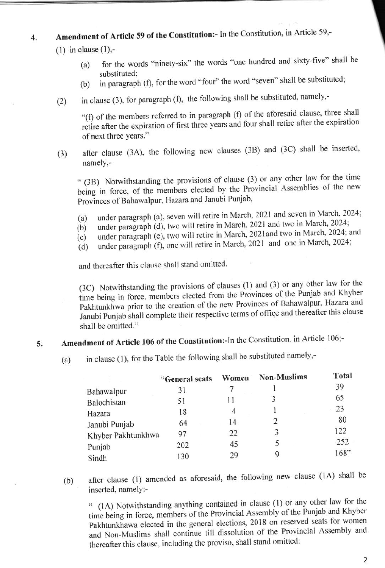### Amendment of Article 59 of the Constitution:- In the Constitution, in Article 59,- $\overline{\mathbf{4}}$ .

 $(1)$  in clause  $(1)$ .

- for the words "ninety-six" the words "one hundred and sixty-five" shall be  $(a)$ substituted:
- in paragraph (f), for the word "four" the word "seven" shall be substituted;  $(b)$
- in clause (3), for paragraph (f), the following shall be substituted, namely,- $(2)$

"(f) of the members referred to in paragraph (f) of the aforesaid clause, three shall retire after the expiration of first three years and four shall retire after the expiration of next three years."

after clause (3A), the following new clauses (3B) and (3C) shall be inserted,  $(3)$ namely,-

" (3B) Notwithstanding the provisions of clause (3) or any other law for the time being in force, of the members elected by the Provincial Assemblies of the new Provinces of Bahawalpur, Hazara and Janubi Punjab,

- under paragraph (a), seven will retire in March, 2021 and seven in March, 2024;  $(a)$
- under paragraph (d), two will retire in March, 2021 and two in March, 2024;  $(b)$
- under paragraph (e), two will retire in March, 2021and two in March, 2024; and  $(c)$
- under paragraph (f), one will retire in March, 2021 and one in March, 2024;  $(d)$

and thereafter this clause shall stand omitted.

(3C) Notwithstanding the provisions of clauses (1) and (3) or any other law for the time being in force, members elected from the Provinces of the Punjab and Khyber Pakhtunkhwa prior to the creation of the new Provinces of Bahawalpur, Hazara and Janubi Punjab shall complete their respective terms of office and thereafter this clause shall be omitted."

### Amendment of Article 106 of the Constitution:-In the Constitution, in Article 106;-5.

in clause (1), for the Table the following shall be substituted namely,- $(a)$ 

|                    | "General seats | Women | <b>Non-Muslims</b> | Total |
|--------------------|----------------|-------|--------------------|-------|
| Bahawalpur         | 31             |       |                    | 39    |
| Balochistan        | 51             |       |                    | 65    |
| Hazara             | 18             | 4     |                    | 23    |
| Janubi Punjab      | 64             | 14    | 2                  | 80    |
| Khyber Pakhtunkhwa | 97             | 22    |                    | 122   |
| Punjab             | 202            | 45    |                    | 252   |
| Sindh              | 130            | 29    | Q                  | 168"  |

after clause (1) amended as aforesaid, the following new clause (1A) shall be  $(b)$ inserted, namely:-

" (1A) Notwithstanding anything contained in clause (1) or any other law for the time being in force, members of the Provincial Assembly of the Punjab and Khyber Pakhtunkhawa elected in the general elections, 2018 on reserved seats for women and Non-Muslims shall continue till dissolution of the Provincial Assembly and thereafter this clause, including the proviso, shall stand omitted: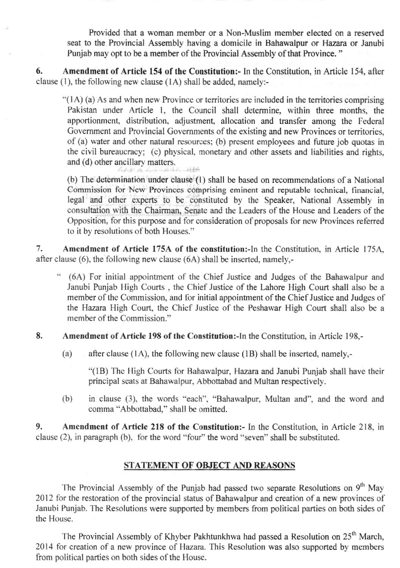Provided that a woman member or a Non-Muslim member elected on a reserved seat to the Provincial Assembly having a domicile in Bahawalpur or Hazara or Janubi Punjab may opt to be a member of the Provincial Assembly of that Province."

6. Amendment of Article 154 of the Constitution: In the Constitution, in Article 154, after clause (1), the following new clause (1A) shall be added, namely:-

"(1A) (a) As and when new Province or territories are included in the territories comprising Pakistan under Article 1, the Council shall determine, within three months, the apportionment, distribution, adjustment, allocation and transfer among the Federal Government and Provincial Governments of the existing and new Provinces or territories, of (a) water and other natural resources; (b) present employees and future job quotas in the civil bureaucracy; (c) physical, monetary and other assets and liabilities and rights, and (d) other ancillary matters.

(b) The determination under clause (1) shall be based on recommendations of a National Commission for New Provinces comprising eminent and reputable technical, financial, legal and other experts to be constituted by the Speaker, National Assembly in consultation with the Chairman, Senate and the Leaders of the House and Leaders of the Opposition, for this purpose and for consideration of proposals for new Provinces referred to it by resolutions of both Houses."

7. Amendment of Article 175A of the constitution:-In the Constitution, in Article 175A, after clause (6), the following new clause (6A) shall be inserted, namely,-

both the standard

- " (6A) For initial appointment of the Chief Justice and Judges of the Bahawalpur and Janubi Punjab High Courts, the Chief Justice of the Lahore High Court shall also be a member of the Commission, and for initial appointment of the Chief Justice and Judges of the Hazara High Court, the Chief Justice of the Peshawar High Court shall also be a member of the Commission."
- 8. Amendment of Article 198 of the Constitution:-In the Constitution, in Article 198,
	- after clause (1A), the following new clause (1B) shall be inserted, namely,- $(a)$

"(1B) The High Courts for Bahawalpur, Hazara and Janubi Punjab shall have their principal seats at Bahawalpur, Abbottabad and Multan respectively.

 $(b)$ in clause (3), the words "each", "Bahawalpur, Multan and", and the word and comma "Abbottabad," shall be omitted.

9. Amendment of Article 218 of the Constitution:- In the Constitution, in Article 218, in clause (2), in paragraph (b), for the word "four" the word "seven" shall be substituted.

# STATEMENT OF OBJECT AND REASONS

The Provincial Assembly of the Punjab had passed two separate Resolutions on 9<sup>th</sup> May 2012 for the restoration of the provincial status of Bahawalpur and creation of a new provinces of Janubi Punjab. The Resolutions were supported by members from political parties on both sides of the House.

The Provincial Assembly of Khyber Pakhtunkhwa had passed a Resolution on 25<sup>th</sup> March. 2014 for creation of a new province of Hazara. This Resolution was also supported by members from political parties on both sides of the House.